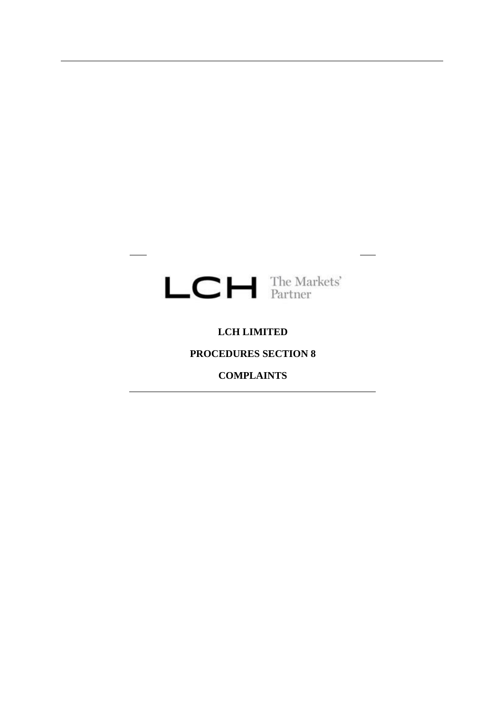

# **LCH LIMITED**

# **PROCEDURES SECTION 8**

# **COMPLAINTS**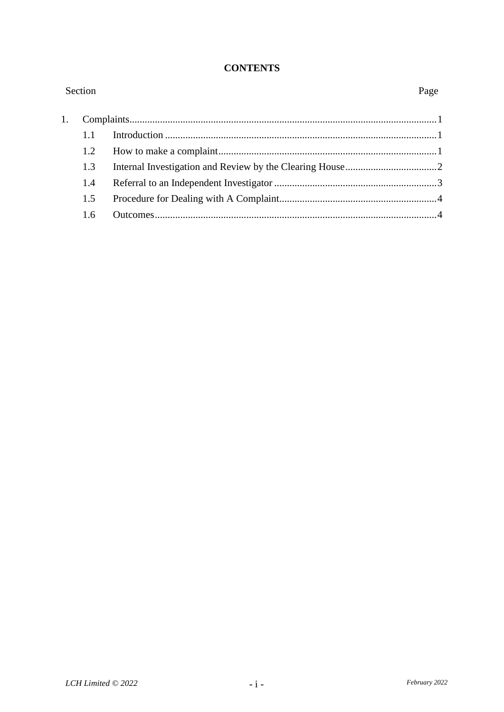#### **CONTENTS**

| Section |     |  | Page |  |
|---------|-----|--|------|--|
|         |     |  |      |  |
|         | 1.1 |  |      |  |
|         | 1.2 |  |      |  |
|         | 1.3 |  |      |  |
|         | 1.4 |  |      |  |
|         | 1.5 |  |      |  |
|         | 1.6 |  |      |  |
|         |     |  |      |  |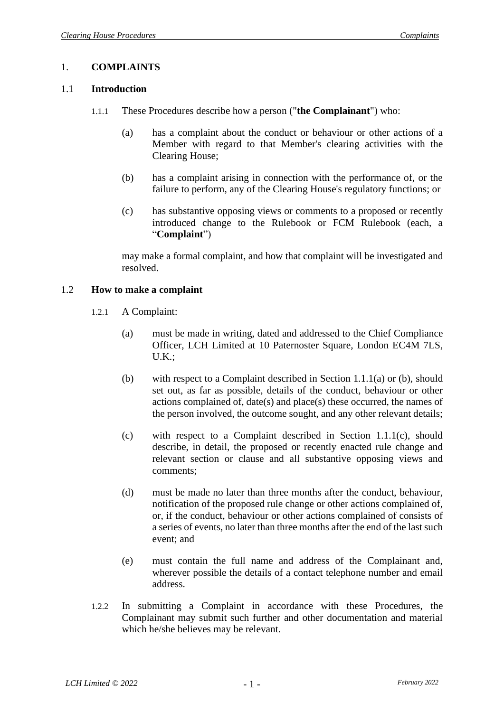# 1. **COMPLAINTS**

#### 1.1 **Introduction**

- 1.1.1 These Procedures describe how a person ("**the Complainant**") who:
	- (a) has a complaint about the conduct or behaviour or other actions of a Member with regard to that Member's clearing activities with the Clearing House;
	- (b) has a complaint arising in connection with the performance of, or the failure to perform, any of the Clearing House's regulatory functions; or
	- (c) has substantive opposing views or comments to a proposed or recently introduced change to the Rulebook or FCM Rulebook (each, a "**Complaint**")

may make a formal complaint, and how that complaint will be investigated and resolved.

#### <span id="page-2-0"></span>1.2 **How to make a complaint**

- 1.2.1 A Complaint:
	- (a) must be made in writing, dated and addressed to the Chief Compliance Officer, LCH Limited at 10 Paternoster Square, London EC4M 7LS, U.K.;
	- (b) with respect to a Complaint described in Section 1.1.1(a) or (b), should set out, as far as possible, details of the conduct, behaviour or other actions complained of, date(s) and place(s) these occurred, the names of the person involved, the outcome sought, and any other relevant details;
	- (c) with respect to a Complaint described in Section 1.1.1(c), should describe, in detail, the proposed or recently enacted rule change and relevant section or clause and all substantive opposing views and comments;
	- (d) must be made no later than three months after the conduct, behaviour, notification of the proposed rule change or other actions complained of, or, if the conduct, behaviour or other actions complained of consists of a series of events, no later than three months after the end of the last such event; and
	- (e) must contain the full name and address of the Complainant and, wherever possible the details of a contact telephone number and email address.
- 1.2.2 In submitting a Complaint in accordance with these Procedures, the Complainant may submit such further and other documentation and material which he/she believes may be relevant.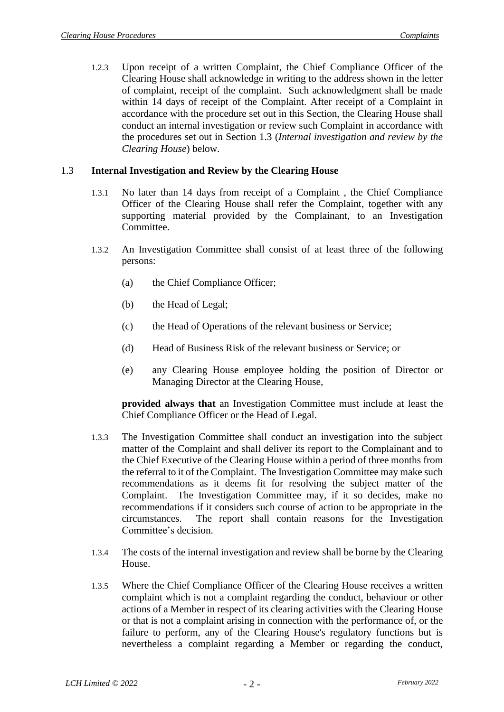1.2.3 Upon receipt of a written Complaint, the Chief Compliance Officer of the Clearing House shall acknowledge in writing to the address shown in the letter of complaint, receipt of the complaint. Such acknowledgment shall be made within 14 days of receipt of the Complaint. After receipt of a Complaint in accordance with the procedure set out in this Section, the Clearing House shall conduct an internal investigation or review such Complaint in accordance with the procedures set out in Section [1.3](#page-3-0) (*Internal investigation and review by the Clearing House*) below.

#### <span id="page-3-0"></span>1.3 **Internal Investigation and Review by the Clearing House**

- 1.3.1 No later than 14 days from receipt of a Complaint , the Chief Compliance Officer of the Clearing House shall refer the Complaint, together with any supporting material provided by the Complainant, to an Investigation Committee.
- 1.3.2 An Investigation Committee shall consist of at least three of the following persons:
	- (a) the Chief Compliance Officer;
	- (b) the Head of Legal;
	- (c) the Head of Operations of the relevant business or Service;
	- (d) Head of Business Risk of the relevant business or Service; or
	- (e) any Clearing House employee holding the position of Director or Managing Director at the Clearing House,

**provided always that** an Investigation Committee must include at least the Chief Compliance Officer or the Head of Legal.

- 1.3.3 The Investigation Committee shall conduct an investigation into the subject matter of the Complaint and shall deliver its report to the Complainant and to the Chief Executive of the Clearing House within a period of three months from the referral to it of the Complaint. The Investigation Committee may make such recommendations as it deems fit for resolving the subject matter of the Complaint. The Investigation Committee may, if it so decides, make no recommendations if it considers such course of action to be appropriate in the circumstances. The report shall contain reasons for the Investigation Committee's decision.
- 1.3.4 The costs of the internal investigation and review shall be borne by the Clearing House.
- 1.3.5 Where the Chief Compliance Officer of the Clearing House receives a written complaint which is not a complaint regarding the conduct, behaviour or other actions of a Member in respect of its clearing activities with the Clearing House or that is not a complaint arising in connection with the performance of, or the failure to perform, any of the Clearing House's regulatory functions but is nevertheless a complaint regarding a Member or regarding the conduct,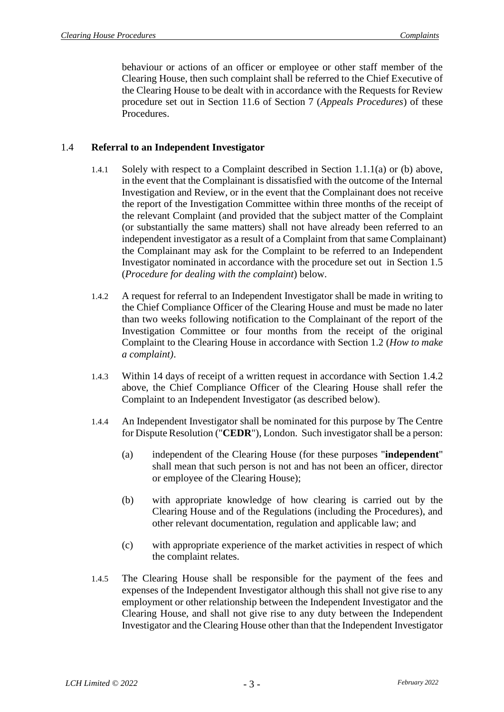behaviour or actions of an officer or employee or other staff member of the Clearing House, then such complaint shall be referred to the Chief Executive of the Clearing House to be dealt with in accordance with the Requests for Review procedure set out in Section 11.6 of Section 7 (*Appeals Procedures*) of these Procedures.

# 1.4 **Referral to an Independent Investigator**

- 1.4.1 Solely with respect to a Complaint described in Section 1.1.1(a) or (b) above, in the event that the Complainant is dissatisfied with the outcome of the Internal Investigation and Review, or in the event that the Complainant does not receive the report of the Investigation Committee within three months of the receipt of the relevant Complaint (and provided that the subject matter of the Complaint (or substantially the same matters) shall not have already been referred to an independent investigator as a result of a Complaint from that same Complainant) the Complainant may ask for the Complaint to be referred to an Independent Investigator nominated in accordance with the procedure set out in Section [1.5](#page-5-0) (*Procedure for dealing with the complaint*) below.
- <span id="page-4-0"></span>1.4.2 A request for referral to an Independent Investigator shall be made in writing to the Chief Compliance Officer of the Clearing House and must be made no later than two weeks following notification to the Complainant of the report of the Investigation Committee or four months from the receipt of the original Complaint to the Clearing House in accordance with Section [1.2](#page-2-0) (*How to make a complaint)*.
- <span id="page-4-1"></span>1.4.3 Within 14 days of receipt of a written request in accordance with Section [1.4.2](#page-4-0) above, the Chief Compliance Officer of the Clearing House shall refer the Complaint to an Independent Investigator (as described below).
- 1.4.4 An Independent Investigator shall be nominated for this purpose by The Centre for Dispute Resolution ("**CEDR**"), London. Such investigator shall be a person:
	- (a) independent of the Clearing House (for these purposes "**independent**" shall mean that such person is not and has not been an officer, director or employee of the Clearing House);
	- (b) with appropriate knowledge of how clearing is carried out by the Clearing House and of the Regulations (including the Procedures), and other relevant documentation, regulation and applicable law; and
	- (c) with appropriate experience of the market activities in respect of which the complaint relates.
- 1.4.5 The Clearing House shall be responsible for the payment of the fees and expenses of the Independent Investigator although this shall not give rise to any employment or other relationship between the Independent Investigator and the Clearing House, and shall not give rise to any duty between the Independent Investigator and the Clearing House other than that the Independent Investigator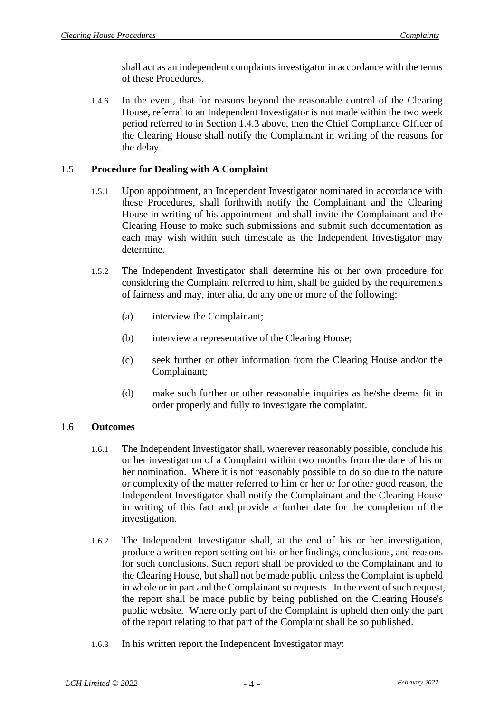shall act as an independent complaints investigator in accordance with the terms of these Procedures.

1.4.6 In the event, that for reasons beyond the reasonable control of the Clearing House, referral to an Independent Investigator is not made within the two week period referred to in Section [1.4.3](#page-4-1) above, then the Chief Compliance Officer of the Clearing House shall notify the Complainant in writing of the reasons for the delay.

# <span id="page-5-0"></span>1.5 **Procedure for Dealing with A Complaint**

- 1.5.1 Upon appointment, an Independent Investigator nominated in accordance with these Procedures, shall forthwith notify the Complainant and the Clearing House in writing of his appointment and shall invite the Complainant and the Clearing House to make such submissions and submit such documentation as each may wish within such timescale as the Independent Investigator may determine.
- 1.5.2 The Independent Investigator shall determine his or her own procedure for considering the Complaint referred to him, shall be guided by the requirements of fairness and may, inter alia, do any one or more of the following:
	- (a) interview the Complainant;
	- (b) interview a representative of the Clearing House;
	- (c) seek further or other information from the Clearing House and/or the Complainant;
	- (d) make such further or other reasonable inquiries as he/she deems fit in order properly and fully to investigate the complaint.

#### 1.6 **Outcomes**

- 1.6.1 The Independent Investigator shall, wherever reasonably possible, conclude his or her investigation of a Complaint within two months from the date of his or her nomination. Where it is not reasonably possible to do so due to the nature or complexity of the matter referred to him or her or for other good reason, the Independent Investigator shall notify the Complainant and the Clearing House in writing of this fact and provide a further date for the completion of the investigation.
- 1.6.2 The Independent Investigator shall, at the end of his or her investigation, produce a written report setting out his or her findings, conclusions, and reasons for such conclusions. Such report shall be provided to the Complainant and to the Clearing House, but shall not be made public unless the Complaint is upheld in whole or in part and the Complainant so requests. In the event of such request, the report shall be made public by being published on the Clearing House's public website. Where only part of the Complaint is upheld then only the part of the report relating to that part of the Complaint shall be so published.
- 1.6.3 In his written report the Independent Investigator may: